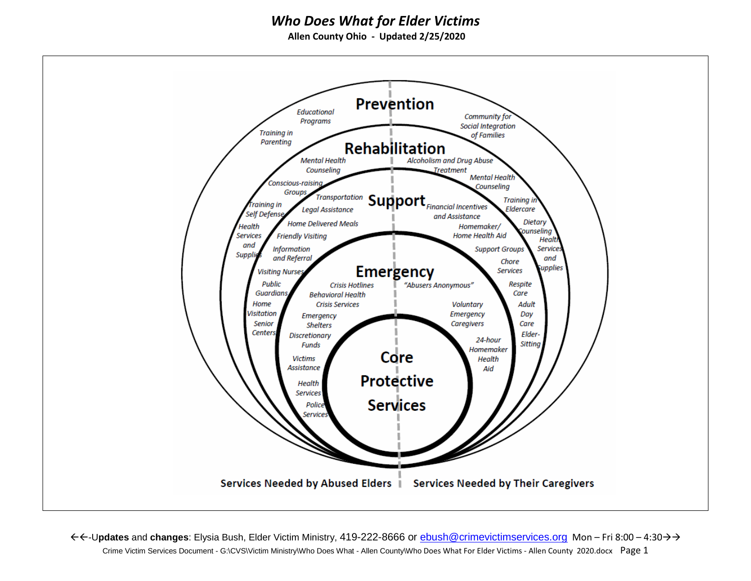**Allen County Ohio - Updated 2/25/2020**

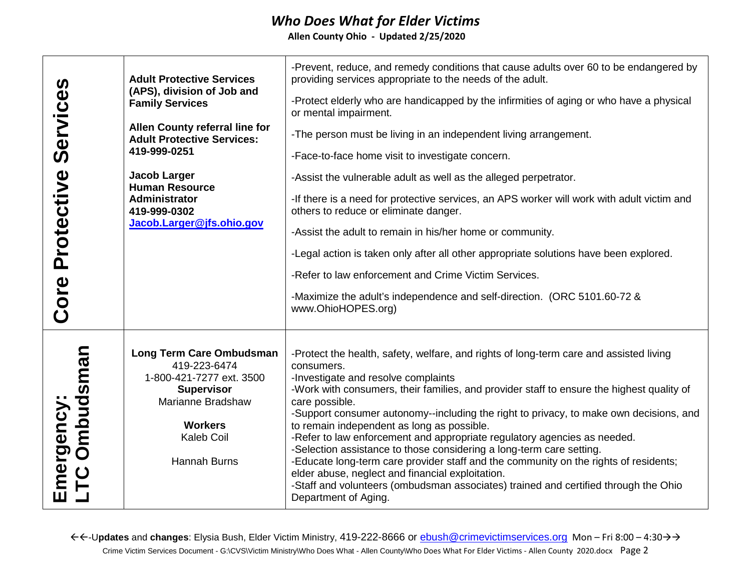**Allen County Ohio - Updated 2/25/2020**

| Services<br>Protective<br>Core | <b>Adult Protective Services</b><br>(APS), division of Job and<br><b>Family Services</b><br>Allen County referral line for<br><b>Adult Protective Services:</b><br>419-999-0251<br><b>Jacob Larger</b><br><b>Human Resource</b><br>Administrator<br>419-999-0302<br>Jacob.Larger@jfs.ohio.gov | -Prevent, reduce, and remedy conditions that cause adults over 60 to be endangered by<br>providing services appropriate to the needs of the adult.<br>-Protect elderly who are handicapped by the infirmities of aging or who have a physical<br>or mental impairment.<br>-The person must be living in an independent living arrangement.<br>-Face-to-face home visit to investigate concern.<br>-Assist the vulnerable adult as well as the alleged perpetrator.<br>-If there is a need for protective services, an APS worker will work with adult victim and<br>others to reduce or eliminate danger.<br>-Assist the adult to remain in his/her home or community.<br>-Legal action is taken only after all other appropriate solutions have been explored.<br>-Refer to law enforcement and Crime Victim Services.<br>-Maximize the adult's independence and self-direction. (ORC 5101.60-72 &<br>www.OhioHOPES.org) |
|--------------------------------|-----------------------------------------------------------------------------------------------------------------------------------------------------------------------------------------------------------------------------------------------------------------------------------------------|---------------------------------------------------------------------------------------------------------------------------------------------------------------------------------------------------------------------------------------------------------------------------------------------------------------------------------------------------------------------------------------------------------------------------------------------------------------------------------------------------------------------------------------------------------------------------------------------------------------------------------------------------------------------------------------------------------------------------------------------------------------------------------------------------------------------------------------------------------------------------------------------------------------------------|
| Emergency:<br>LTC Ombudsman    | Long Term Care Ombudsman<br>419-223-6474<br>1-800-421-7277 ext. 3500<br><b>Supervisor</b><br>Marianne Bradshaw<br><b>Workers</b><br>Kaleb Coil<br><b>Hannah Burns</b>                                                                                                                         | -Protect the health, safety, welfare, and rights of long-term care and assisted living<br>consumers.<br>-Investigate and resolve complaints<br>-Work with consumers, their families, and provider staff to ensure the highest quality of<br>care possible.<br>-Support consumer autonomy--including the right to privacy, to make own decisions, and<br>to remain independent as long as possible.<br>-Refer to law enforcement and appropriate regulatory agencies as needed.<br>-Selection assistance to those considering a long-term care setting.<br>-Educate long-term care provider staff and the community on the rights of residents;<br>elder abuse, neglect and financial exploitation.<br>-Staff and volunteers (ombudsman associates) trained and certified through the Ohio<br>Department of Aging.                                                                                                         |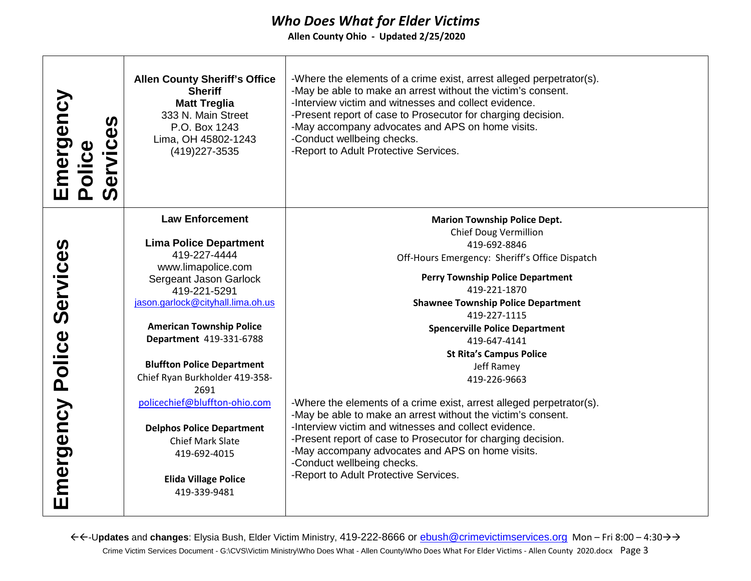**Allen County Ohio - Updated 2/25/2020**

| Emergency<br>Services<br>Police | <b>Allen County Sheriff's Office</b><br><b>Sheriff</b><br><b>Matt Treglia</b><br>333 N. Main Street<br>P.O. Box 1243<br>Lima, OH 45802-1243<br>(419) 227-3535 | -Where the elements of a crime exist, arrest alleged perpetrator(s).<br>-May be able to make an arrest without the victim's consent.<br>-Interview victim and witnesses and collect evidence.<br>-Present report of case to Prosecutor for charging decision.<br>-May accompany advocates and APS on home visits.<br>-Conduct wellbeing checks.<br>-Report to Adult Protective Services. |
|---------------------------------|---------------------------------------------------------------------------------------------------------------------------------------------------------------|------------------------------------------------------------------------------------------------------------------------------------------------------------------------------------------------------------------------------------------------------------------------------------------------------------------------------------------------------------------------------------------|
|                                 | <b>Law Enforcement</b>                                                                                                                                        | <b>Marion Township Police Dept.</b>                                                                                                                                                                                                                                                                                                                                                      |
|                                 |                                                                                                                                                               | <b>Chief Doug Vermillion</b>                                                                                                                                                                                                                                                                                                                                                             |
|                                 | <b>Lima Police Department</b><br>419-227-4444                                                                                                                 | 419-692-8846                                                                                                                                                                                                                                                                                                                                                                             |
|                                 | www.limapolice.com                                                                                                                                            | Off-Hours Emergency: Sheriff's Office Dispatch                                                                                                                                                                                                                                                                                                                                           |
|                                 | Sergeant Jason Garlock                                                                                                                                        | <b>Perry Township Police Department</b>                                                                                                                                                                                                                                                                                                                                                  |
|                                 | 419-221-5291                                                                                                                                                  | 419-221-1870                                                                                                                                                                                                                                                                                                                                                                             |
| Services                        | jason.garlock@cityhall.lima.oh.us                                                                                                                             | <b>Shawnee Township Police Department</b>                                                                                                                                                                                                                                                                                                                                                |
|                                 |                                                                                                                                                               | 419-227-1115                                                                                                                                                                                                                                                                                                                                                                             |
|                                 | <b>American Township Police</b>                                                                                                                               | <b>Spencerville Police Department</b>                                                                                                                                                                                                                                                                                                                                                    |
| Police                          | Department 419-331-6788                                                                                                                                       | 419-647-4141                                                                                                                                                                                                                                                                                                                                                                             |
|                                 |                                                                                                                                                               | <b>St Rita's Campus Police</b>                                                                                                                                                                                                                                                                                                                                                           |
|                                 | <b>Bluffton Police Department</b>                                                                                                                             | Jeff Ramey                                                                                                                                                                                                                                                                                                                                                                               |
|                                 | Chief Ryan Burkholder 419-358-                                                                                                                                | 419-226-9663                                                                                                                                                                                                                                                                                                                                                                             |
|                                 | 2691                                                                                                                                                          |                                                                                                                                                                                                                                                                                                                                                                                          |
|                                 | policechief@bluffton-ohio.com                                                                                                                                 | -Where the elements of a crime exist, arrest alleged perpetrator(s).                                                                                                                                                                                                                                                                                                                     |
|                                 |                                                                                                                                                               | -May be able to make an arrest without the victim's consent.                                                                                                                                                                                                                                                                                                                             |
|                                 | <b>Delphos Police Department</b>                                                                                                                              | -Interview victim and witnesses and collect evidence.                                                                                                                                                                                                                                                                                                                                    |
|                                 | <b>Chief Mark Slate</b>                                                                                                                                       | -Present report of case to Prosecutor for charging decision.                                                                                                                                                                                                                                                                                                                             |
|                                 | 419-692-4015                                                                                                                                                  | -May accompany advocates and APS on home visits.                                                                                                                                                                                                                                                                                                                                         |
| Emergency                       |                                                                                                                                                               | -Conduct wellbeing checks.<br>-Report to Adult Protective Services.                                                                                                                                                                                                                                                                                                                      |
|                                 | <b>Elida Village Police</b>                                                                                                                                   |                                                                                                                                                                                                                                                                                                                                                                                          |
|                                 | 419-339-9481                                                                                                                                                  |                                                                                                                                                                                                                                                                                                                                                                                          |
|                                 |                                                                                                                                                               |                                                                                                                                                                                                                                                                                                                                                                                          |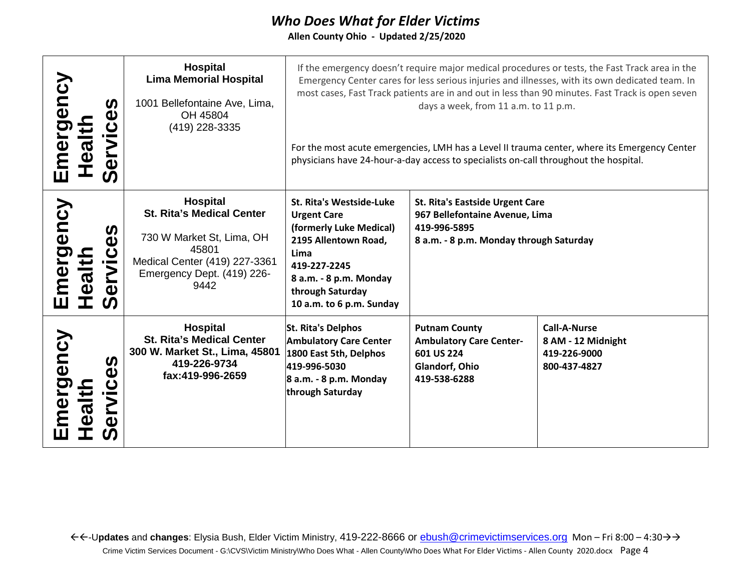**Allen County Ohio - Updated 2/25/2020**

| Emergency<br>Health     | $\boldsymbol{\omega}$<br>$\ddot{\mathbf{0}}$<br>><br>$\boldsymbol{\omega}$     | <b>Hospital</b><br><b>Lima Memorial Hospital</b><br>1001 Bellefontaine Ave, Lima,<br>OH 45804<br>(419) 228-3335                                           |                                                                                                                                                                                                     | days a week, from 11 a.m. to 11 p.m.<br>physicians have 24-hour-a-day access to specialists on-call throughout the hospital.        | If the emergency doesn't require major medical procedures or tests, the Fast Track area in the<br>Emergency Center cares for less serious injuries and illnesses, with its own dedicated team. In<br>most cases, Fast Track patients are in and out in less than 90 minutes. Fast Track is open seven<br>For the most acute emergencies, LMH has a Level II trauma center, where its Emergency Center |
|-------------------------|--------------------------------------------------------------------------------|-----------------------------------------------------------------------------------------------------------------------------------------------------------|-----------------------------------------------------------------------------------------------------------------------------------------------------------------------------------------------------|-------------------------------------------------------------------------------------------------------------------------------------|-------------------------------------------------------------------------------------------------------------------------------------------------------------------------------------------------------------------------------------------------------------------------------------------------------------------------------------------------------------------------------------------------------|
| mergency<br>diteal<br>Ш | <u>()</u><br>$\mathbf C$<br>i me<br>$\bf \Sigma$<br>$\boldsymbol{\omega}$<br>ၯ | Hospital<br><b>St. Rita's Medical Center</b><br>730 W Market St, Lima, OH<br>45801<br>Medical Center (419) 227-3361<br>Emergency Dept. (419) 226-<br>9442 | St. Rita's Westside-Luke<br><b>Urgent Care</b><br>(formerly Luke Medical)<br>2195 Allentown Road,<br>Lima<br>419-227-2245<br>8 a.m. - 8 p.m. Monday<br>through Saturday<br>10 a.m. to 6 p.m. Sunday | <b>St. Rita's Eastside Urgent Care</b><br>967 Bellefontaine Avenue, Lima<br>419-996-5895<br>8 a.m. - 8 p.m. Monday through Saturday |                                                                                                                                                                                                                                                                                                                                                                                                       |
| mergency<br>alt         | <b>S</b><br>Φ<br>ပ<br><u>S</u><br>Φ                                            | Hospital<br><b>St. Rita's Medical Center</b><br>300 W. Market St., Lima, 45801<br>419-226-9734<br>fax:419-996-2659                                        | St. Rita's Delphos<br><b>Ambulatory Care Center</b><br>1800 East 5th, Delphos<br>419-996-5030<br>$\beta$ a.m. - 8 p.m. Monday<br>through Saturday                                                   | <b>Putnam County</b><br><b>Ambulatory Care Center-</b><br>601 US 224<br>Glandorf, Ohio<br>419-538-6288                              | <b>Call-A-Nurse</b><br>8 AM - 12 Midnight<br>419-226-9000<br>800-437-4827                                                                                                                                                                                                                                                                                                                             |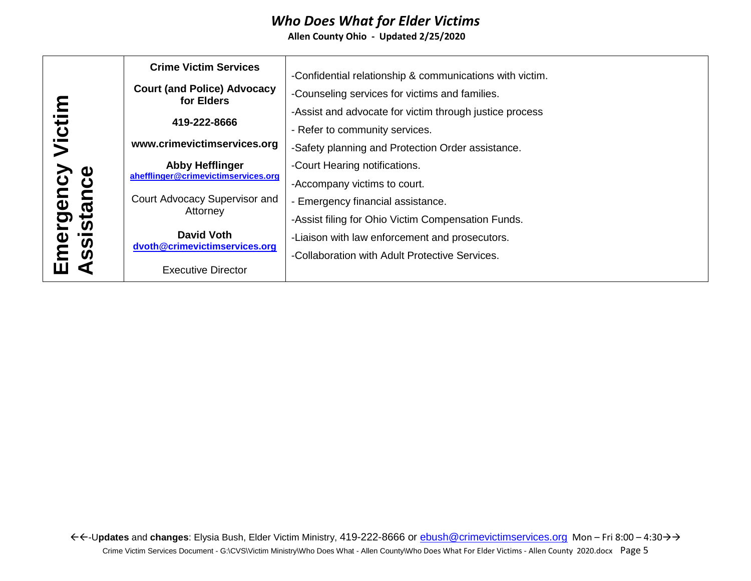|                                                                         | <b>Crime Victim Services</b>                                  | -Confidential relationship & communications with victim. |
|-------------------------------------------------------------------------|---------------------------------------------------------------|----------------------------------------------------------|
|                                                                         | <b>Court (and Police) Advocacy</b><br>for Elders              | -Counseling services for victims and families.           |
| と                                                                       | 419-222-8666                                                  | -Assist and advocate for victim through justice process  |
|                                                                         |                                                               | - Refer to community services.                           |
| Victii                                                                  | www.crimevictimservices.org                                   | -Safety planning and Protection Order assistance.        |
| $\boldsymbol{\omega}$<br>mergency<br>ssistance<br>$\boldsymbol{\omega}$ | <b>Abby Hefflinger</b><br>ahefflinger@crimevictimservices.org | -Court Hearing notifications.                            |
|                                                                         |                                                               | -Accompany victims to court.                             |
|                                                                         | Court Advocacy Supervisor and                                 | - Emergency financial assistance.                        |
|                                                                         | Attorney                                                      | -Assist filing for Ohio Victim Compensation Funds.       |
|                                                                         | <b>David Voth</b>                                             | -Liaison with law enforcement and prosecutors.           |
|                                                                         | dvoth@crimevictimservices.org                                 | -Collaboration with Adult Protective Services.           |
|                                                                         | <b>Executive Director</b>                                     |                                                          |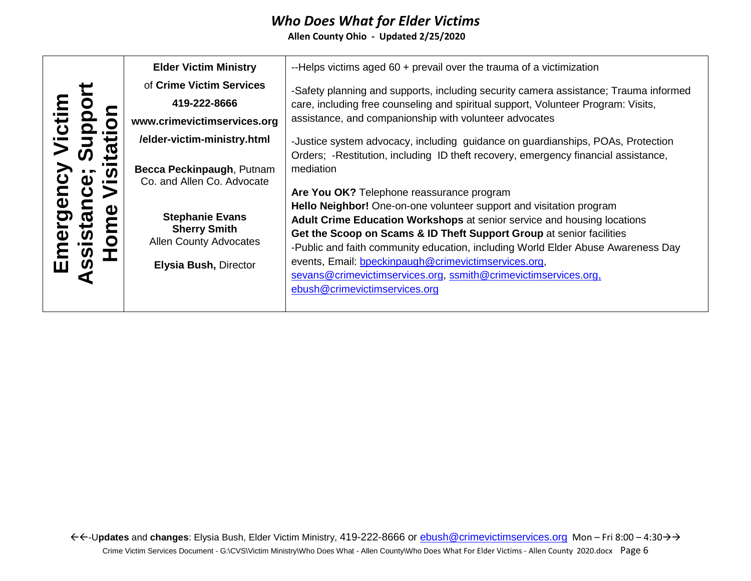|                         |             | <b>Elder Victim Ministry</b>                         | --Helps victims aged 60 + prevail over the trauma of a victimization                 |
|-------------------------|-------------|------------------------------------------------------|--------------------------------------------------------------------------------------|
|                         |             | of Crime Victim Services                             | -Safety planning and supports, including security camera assistance; Trauma informed |
|                         |             | 419-222-8666                                         | care, including free counseling and spiritual support, Volunteer Program: Visits,    |
| <b>UD</b>               |             | www.crimevictimservices.org                          | assistance, and companionship with volunteer advocates                               |
|                         |             | /elder-victim-ministry.html                          | -Justice system advocacy, including guidance on guardianships, POAs, Protection      |
|                         | ω           |                                                      | Orders; -Restitution, including ID theft recovery, emergency financial assistance,   |
|                         | <b>S</b>    | Becca Peckinpaugh, Putnam                            | mediation                                                                            |
|                         |             | Co. and Allen Co. Advocate                           | Are You OK? Telephone reassurance program                                            |
| $\overline{\mathbf{0}}$ | Φ           |                                                      | Hello Neighbor! One-on-one volunteer support and visitation program                  |
| <u>ටා</u>               | <b>Stal</b> | <b>Stephanie Evans</b>                               | <b>Adult Crime Education Workshops at senior service and housing locations</b>       |
| Φ                       | O           | <b>Sherry Smith</b><br><b>Allen County Advocates</b> | Get the Scoop on Scams & ID Theft Support Group at senior facilities                 |
|                         | S           |                                                      | -Public and faith community education, including World Elder Abuse Awareness Day     |
|                         | ഗ           | Elysia Bush, Director                                | events, Email: bpeckinpaugh@crimevictimservices.org,                                 |
|                         |             |                                                      | sevans@crimevictimservices.org, ssmith@crimevictimservices.org,                      |
|                         |             |                                                      | ebush@crimevictimservices.org                                                        |
|                         |             |                                                      |                                                                                      |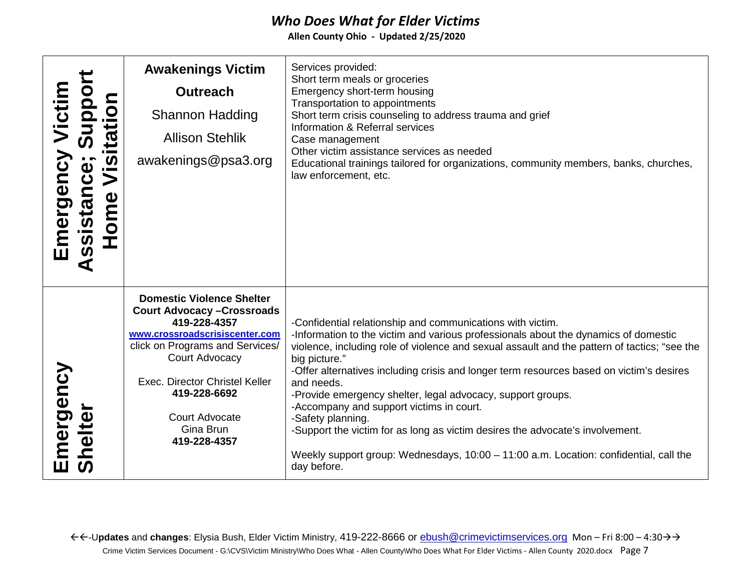| Emergency Victim<br>ssistance; Suppor<br>itation<br><u>ှိက</u><br>$\geq$<br>Home<br>₫ | <b>Awakenings Victim</b><br><b>Outreach</b><br><b>Shannon Hadding</b><br><b>Allison Stehlik</b><br>awakenings@psa3.org                                                                                                                                                         | Services provided:<br>Short term meals or groceries<br>Emergency short-term housing<br>Transportation to appointments<br>Short term crisis counseling to address trauma and grief<br>Information & Referral services<br>Case management<br>Other victim assistance services as needed<br>Educational trainings tailored for organizations, community members, banks, churches,<br>law enforcement, etc.                                                                                                                                                                                                                                                                                               |
|---------------------------------------------------------------------------------------|--------------------------------------------------------------------------------------------------------------------------------------------------------------------------------------------------------------------------------------------------------------------------------|-------------------------------------------------------------------------------------------------------------------------------------------------------------------------------------------------------------------------------------------------------------------------------------------------------------------------------------------------------------------------------------------------------------------------------------------------------------------------------------------------------------------------------------------------------------------------------------------------------------------------------------------------------------------------------------------------------|
| Emergency<br>ihelter<br><b>S</b>                                                      | <b>Domestic Violence Shelter</b><br><b>Court Advocacy - Crossroads</b><br>419-228-4357<br>www.crossroadscrisiscenter.com<br>click on Programs and Services/<br>Court Advocacy<br>Exec. Director Christel Keller<br>419-228-6692<br>Court Advocate<br>Gina Brun<br>419-228-4357 | -Confidential relationship and communications with victim.<br>-Information to the victim and various professionals about the dynamics of domestic<br>violence, including role of violence and sexual assault and the pattern of tactics; "see the<br>big picture."<br>-Offer alternatives including crisis and longer term resources based on victim's desires<br>and needs.<br>-Provide emergency shelter, legal advocacy, support groups.<br>-Accompany and support victims in court.<br>-Safety planning.<br>-Support the victim for as long as victim desires the advocate's involvement.<br>Weekly support group: Wednesdays, 10:00 - 11:00 a.m. Location: confidential, call the<br>day before. |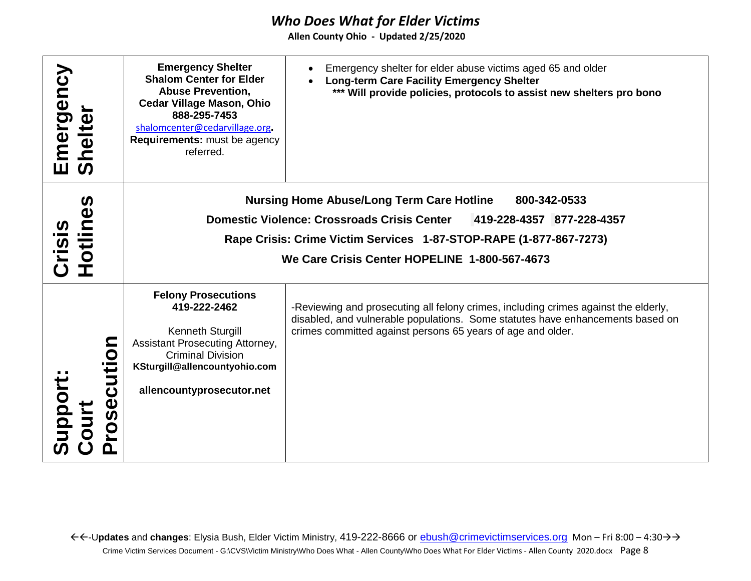| Emergency<br>helte<br><b>S</b>                                   | <b>Emergency Shelter</b><br><b>Shalom Center for Elder</b><br><b>Abuse Prevention,</b><br><b>Cedar Village Mason, Ohio</b><br>888-295-7453<br>shalomcenter@cedarvillage.org.<br>Requirements: must be agency<br>referred.                                                  | Emergency shelter for elder abuse victims aged 65 and older<br><b>Long-term Care Facility Emergency Shelter</b><br>*** Will provide policies, protocols to assist new shelters pro bono                                              |  |
|------------------------------------------------------------------|----------------------------------------------------------------------------------------------------------------------------------------------------------------------------------------------------------------------------------------------------------------------------|--------------------------------------------------------------------------------------------------------------------------------------------------------------------------------------------------------------------------------------|--|
| $\boldsymbol{\omega}$<br>Φ<br>Crisi<br>$\overline{\overline{5}}$ | <b>Nursing Home Abuse/Long Term Care Hotline</b><br>800-342-0533<br><b>Domestic Violence: Crossroads Crisis Center</b><br>419-228-4357 877-228-4357<br>Rape Crisis: Crime Victim Services 1-87-STOP-RAPE (1-877-867-7273)<br>We Care Crisis Center HOPELINE 1-800-567-4673 |                                                                                                                                                                                                                                      |  |
| O<br>Support<br>ပ<br>Φ<br><u>VOS</u>                             | <b>Felony Prosecutions</b><br>419-222-2462<br>Kenneth Sturgill<br>Assistant Prosecuting Attorney,<br><b>Criminal Division</b><br>KSturgill@allencountyohio.com<br>allencountyprosecutor.net                                                                                | -Reviewing and prosecuting all felony crimes, including crimes against the elderly,<br>disabled, and vulnerable populations. Some statutes have enhancements based on<br>crimes committed against persons 65 years of age and older. |  |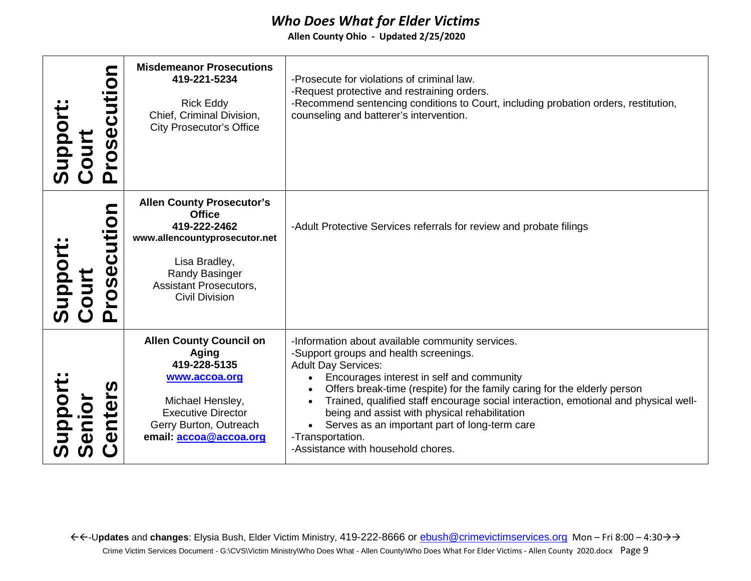| $\mathbf O$<br>rosecut<br>Support<br>Court                      | <b>Misdemeanor Prosecutions</b><br>419-221-5234<br><b>Rick Eddy</b><br>Chief, Criminal Division,<br><b>City Prosecutor's Office</b>                                                             | -Prosecute for violations of criminal law.<br>-Request protective and restraining orders.<br>-Recommend sentencing conditions to Court, including probation orders, restitution,<br>counseling and batterer's intervention.                                                                                                                                                                                                                                                                          |
|-----------------------------------------------------------------|-------------------------------------------------------------------------------------------------------------------------------------------------------------------------------------------------|------------------------------------------------------------------------------------------------------------------------------------------------------------------------------------------------------------------------------------------------------------------------------------------------------------------------------------------------------------------------------------------------------------------------------------------------------------------------------------------------------|
| So<br>Ĕ<br>upport<br>ourt<br>ပ<br>rose<br><b>UD</b><br><u>ո</u> | <b>Allen County Prosecutor's</b><br><b>Office</b><br>419-222-2462<br>www.allencountyprosecutor.net<br>Lisa Bradley,<br>Randy Basinger<br><b>Assistant Prosecutors,</b><br><b>Civil Division</b> | -Adult Protective Services referrals for review and probate filings                                                                                                                                                                                                                                                                                                                                                                                                                                  |
| <b>Support<br/>Senior</b><br>nte<br>$\boldsymbol{\omega}$       | <b>Allen County Council on</b><br>Aging<br>419-228-5135<br>www.accoa.org<br>Michael Hensley,<br><b>Executive Director</b><br>Gerry Burton, Outreach<br>email: accoa@accoa.org                   | -Information about available community services.<br>-Support groups and health screenings.<br><b>Adult Day Services:</b><br>Encourages interest in self and community<br>Offers break-time (respite) for the family caring for the elderly person<br>Trained, qualified staff encourage social interaction, emotional and physical well-<br>being and assist with physical rehabilitation<br>Serves as an important part of long-term care<br>-Transportation.<br>-Assistance with household chores. |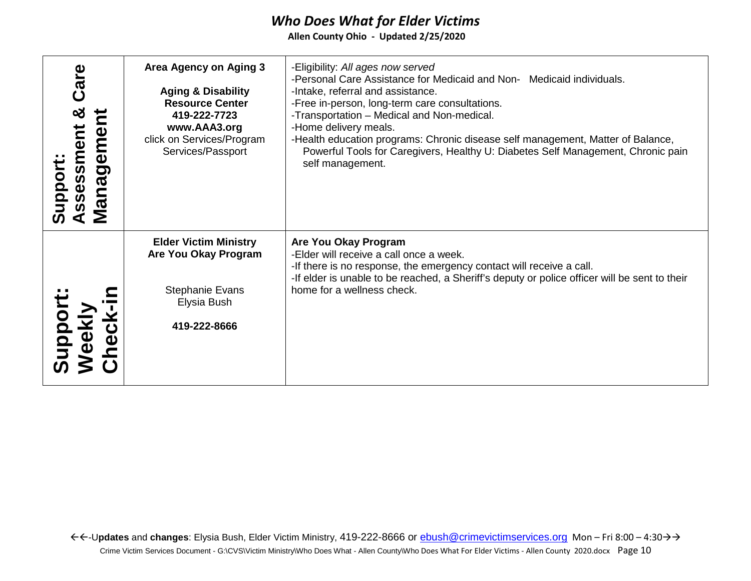| Care<br>×<br>ssessment<br>ien<br>Manager<br>Support | Area Agency on Aging 3<br><b>Aging &amp; Disability</b><br><b>Resource Center</b><br>419-222-7723<br>www.AAA3.org<br>click on Services/Program<br>Services/Passport | -Eligibility: All ages now served<br>-Personal Care Assistance for Medicaid and Non- Medicaid individuals.<br>-Intake, referral and assistance.<br>-Free in-person, long-term care consultations.<br>-Transportation - Medical and Non-medical.<br>-Home delivery meals.<br>-Health education programs: Chronic disease self management, Matter of Balance,<br>Powerful Tools for Caregivers, Healthy U: Diabetes Self Management, Chronic pain<br>self management. |
|-----------------------------------------------------|---------------------------------------------------------------------------------------------------------------------------------------------------------------------|---------------------------------------------------------------------------------------------------------------------------------------------------------------------------------------------------------------------------------------------------------------------------------------------------------------------------------------------------------------------------------------------------------------------------------------------------------------------|
| uppon<br>eekl<br><b>USOL</b>                        | <b>Elder Victim Ministry</b><br>Are You Okay Program<br><b>Stephanie Evans</b><br>Elysia Bush<br>419-222-8666                                                       | Are You Okay Program<br>-Elder will receive a call once a week.<br>-If there is no response, the emergency contact will receive a call.<br>-If elder is unable to be reached, a Sheriff's deputy or police officer will be sent to their<br>home for a wellness check.                                                                                                                                                                                              |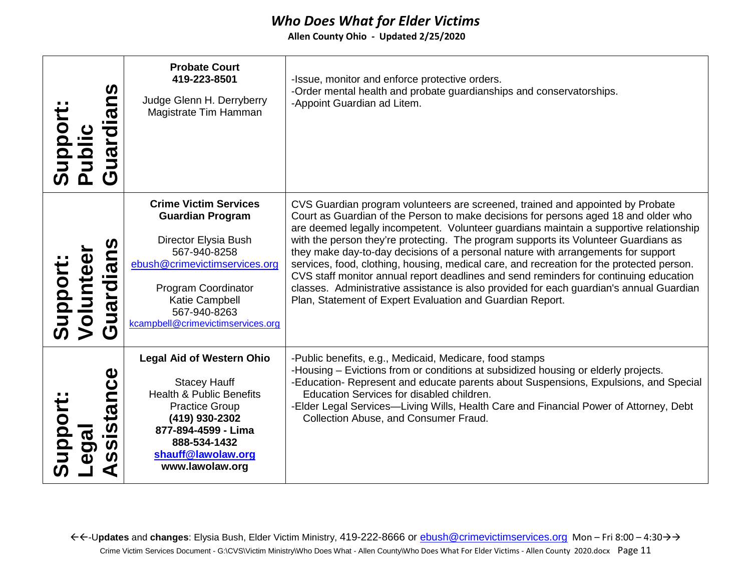| uardians<br>uppor<br>$\frac{1}{\overline{p}}$<br>$\boldsymbol{\sigma}$ | <b>Probate Court</b><br>419-223-8501<br>Judge Glenn H. Derryberry<br>Magistrate Tim Hamman                                                                                                                                     | -Issue, monitor and enforce protective orders.<br>-Order mental health and probate guardianships and conservatorships.<br>-Appoint Guardian ad Litem.                                                                                                                                                                                                                                                                                                                                                                                                                                                                                                                                                                                                                                     |
|------------------------------------------------------------------------|--------------------------------------------------------------------------------------------------------------------------------------------------------------------------------------------------------------------------------|-------------------------------------------------------------------------------------------------------------------------------------------------------------------------------------------------------------------------------------------------------------------------------------------------------------------------------------------------------------------------------------------------------------------------------------------------------------------------------------------------------------------------------------------------------------------------------------------------------------------------------------------------------------------------------------------------------------------------------------------------------------------------------------------|
| uardian<br>Support:<br>Voluntes                                        | <b>Crime Victim Services</b><br><b>Guardian Program</b><br>Director Elysia Bush<br>567-940-8258<br>ebush@crimevictimservices.org<br>Program Coordinator<br>Katie Campbell<br>567-940-8263<br>kcampbell@crimevictimservices.org | CVS Guardian program volunteers are screened, trained and appointed by Probate<br>Court as Guardian of the Person to make decisions for persons aged 18 and older who<br>are deemed legally incompetent. Volunteer guardians maintain a supportive relationship<br>with the person they're protecting. The program supports its Volunteer Guardians as<br>they make day-to-day decisions of a personal nature with arrangements for support<br>services, food, clothing, housing, medical care, and recreation for the protected person.<br>CVS staff monitor annual report deadlines and send reminders for continuing education<br>classes. Administrative assistance is also provided for each guardian's annual Guardian<br>Plan, Statement of Expert Evaluation and Guardian Report. |
| Φ<br>Ŭ<br>⊑<br>Support<br>ista<br>bo<br>$\boldsymbol{\omega}$          | <b>Legal Aid of Western Ohio</b><br><b>Stacey Hauff</b><br><b>Health &amp; Public Benefits</b><br><b>Practice Group</b><br>(419) 930-2302<br>877-894-4599 - Lima<br>888-534-1432<br>shauff@lawolaw.org<br>www.lawolaw.org      | -Public benefits, e.g., Medicaid, Medicare, food stamps<br>-Housing – Evictions from or conditions at subsidized housing or elderly projects.<br>-Education- Represent and educate parents about Suspensions, Expulsions, and Special<br>Education Services for disabled children.<br>-Elder Legal Services—Living Wills, Health Care and Financial Power of Attorney, Debt<br>Collection Abuse, and Consumer Fraud.                                                                                                                                                                                                                                                                                                                                                                      |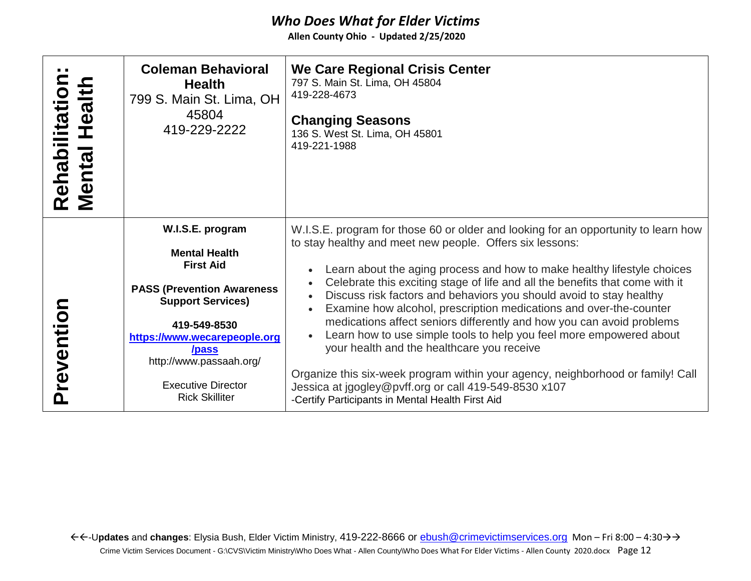| Rehabilitation:<br>Mental Health | <b>Coleman Behavioral</b><br><b>Health</b><br>799 S. Main St. Lima, OH<br>45804<br>419-229-2222 | We Care Regional Crisis Center<br>797 S. Main St. Lima, OH 45804<br>419-228-4673<br><b>Changing Seasons</b><br>136 S. West St. Lima, OH 45801<br>419-221-1988                                                             |
|----------------------------------|-------------------------------------------------------------------------------------------------|---------------------------------------------------------------------------------------------------------------------------------------------------------------------------------------------------------------------------|
|                                  | W.I.S.E. program                                                                                | W.I.S.E. program for those 60 or older and looking for an opportunity to learn how<br>to stay healthy and meet new people. Offers six lessons:                                                                            |
|                                  | <b>Mental Health</b><br><b>First Aid</b>                                                        | Learn about the aging process and how to make healthy lifestyle choices                                                                                                                                                   |
| Preventior                       | <b>PASS (Prevention Awareness)</b><br><b>Support Services)</b>                                  | Celebrate this exciting stage of life and all the benefits that come with it<br>Discuss risk factors and behaviors you should avoid to stay healthy<br>Examine how alcohol, prescription medications and over-the-counter |
|                                  | 419-549-8530<br>https://www.wecarepeople.org                                                    | medications affect seniors differently and how you can avoid problems<br>Learn how to use simple tools to help you feel more empowered about                                                                              |
|                                  | /pass<br>http://www.passaah.org/                                                                | your health and the healthcare you receive                                                                                                                                                                                |
|                                  | <b>Executive Director</b><br><b>Rick Skilliter</b>                                              | Organize this six-week program within your agency, neighborhood or family! Call<br>Jessica at jgogley@pvff.org or call 419-549-8530 x107<br>-Certify Participants in Mental Health First Aid                              |